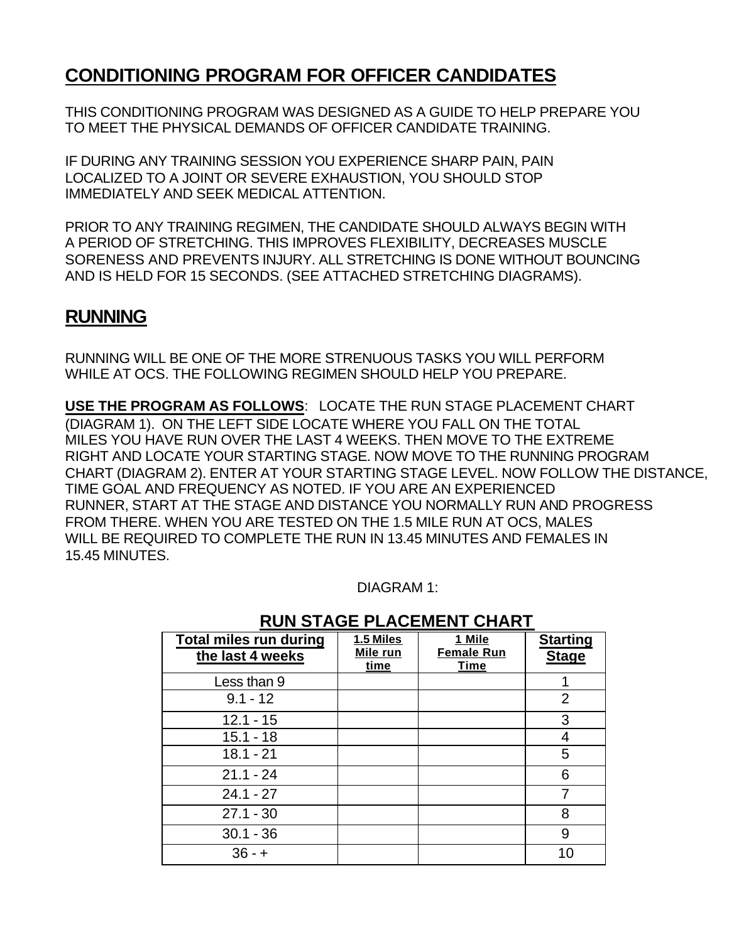### **CONDITIONING PROGRAM FOR OFFICER CANDIDATES**

THIS CONDITIONING PROGRAM WAS DESIGNED AS A GUIDE TO HELP PREPARE YOU TO MEET THE PHYSICAL DEMANDS OF OFFICER CANDIDATE TRAINING.

IF DURING ANY TRAINING SESSION YOU EXPERIENCE SHARP PAIN, PAIN LOCALIZED TO A JOINT OR SEVERE EXHAUSTION, YOU SHOULD STOP IMMEDIATELY AND SEEK MEDICAL ATTENTION.

PRIOR TO ANY TRAINING REGIMEN, THE CANDIDATE SHOULD ALWAYS BEGIN WITH A PERIOD OF STRETCHING. THIS IMPROVES FLEXIBILITY, DECREASES MUSCLE SORENESS AND PREVENTS INJURY. ALL STRETCHING IS DONE WITHOUT BOUNCING AND IS HELD FOR 15 SECONDS. (SEE ATTACHED STRETCHING DIAGRAMS).

#### **RUNNING**

RUNNING WILL BE ONE OF THE MORE STRENUOUS TASKS YOU WILL PERFORM WHILE AT OCS. THE FOLLOWING REGIMEN SHOULD HELP YOU PREPARE.

**USE THE PROGRAM AS FOLLOWS**: LOCATE THE RUN STAGE PLACEMENT CHART (DIAGRAM 1). ON THE LEFT SIDE LOCATE WHERE YOU FALL ON THE TOTAL MILES YOU HAVE RUN OVER THE LAST 4 WEEKS. THEN MOVE TO THE EXTREME RIGHT AND LOCATE YOUR STARTING STAGE. NOW MOVE TO THE RUNNING PROGRAM CHART (DIAGRAM 2). ENTER AT YOUR STARTING STAGE LEVEL. NOW FOLLOW THE DISTANCE, TIME GOAL AND FREQUENCY AS NOTED. IF YOU ARE AN EXPERIENCED RUNNER, START AT THE STAGE AND DISTANCE YOU NORMALLY RUN AND PROGRESS FROM THERE. WHEN YOU ARE TESTED ON THE 1.5 MILE RUN AT OCS, MALES WILL BE REQUIRED TO COMPLETE THE RUN IN 13.45 MINUTES AND FEMALES IN 15.45 MINUTES.

DIAGRAM 1:

| <b>Total miles run during</b><br>the last 4 weeks | 1.5 Miles<br>Mile run<br>time | 1 Mile<br><b>Female Run</b><br><b>Time</b> | <b>Starting</b><br><b>Stage</b> |
|---------------------------------------------------|-------------------------------|--------------------------------------------|---------------------------------|
| Less than 9                                       |                               |                                            |                                 |
| $9.1 - 12$                                        |                               |                                            | $\overline{2}$                  |
| $12.1 - 15$                                       |                               |                                            | 3                               |
| $15.1 - 18$                                       |                               |                                            | 4                               |
| $18.1 - 21$                                       |                               |                                            | 5                               |
| $21.1 - 24$                                       |                               |                                            | 6                               |
| $24.1 - 27$                                       |                               |                                            |                                 |
| $27.1 - 30$                                       |                               |                                            | 8                               |
| $30.1 - 36$                                       |                               |                                            | 9                               |
| $36 - +$                                          |                               |                                            | 1በ                              |

#### **RUN STAGE PLACEMENT CHART**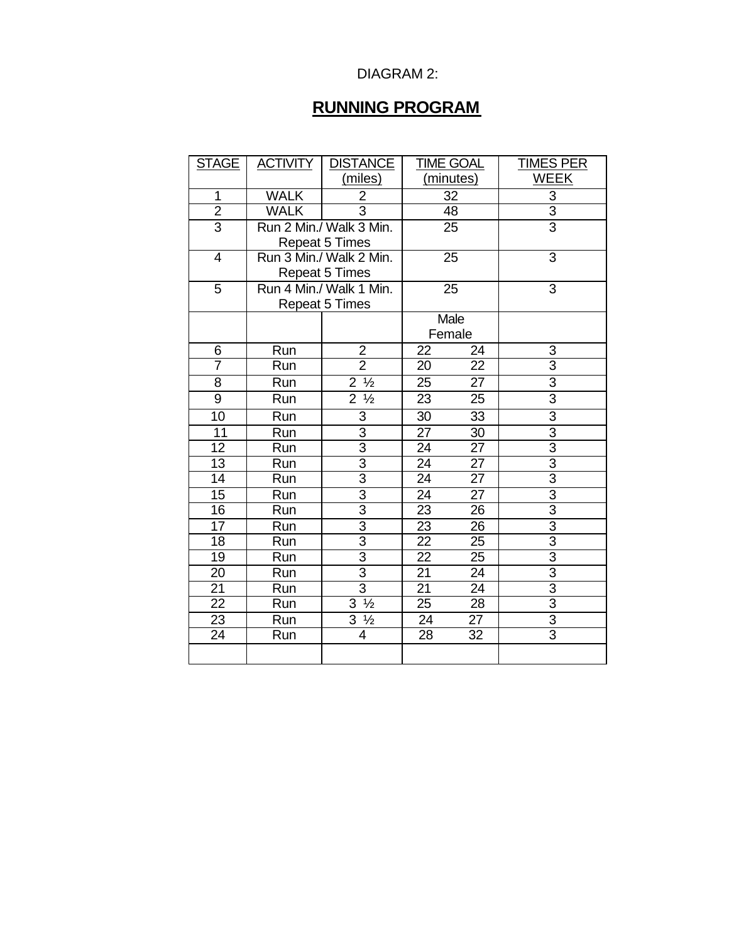#### DIAGRAM 2:

## **RUNNING PROGRAM**

| <b>STAGE</b>            | <b>ACTIVITY</b>         | <b>DISTANCE</b>              | TIME GOAL       |                 | <b>TIMES PER</b>          |
|-------------------------|-------------------------|------------------------------|-----------------|-----------------|---------------------------|
|                         |                         | (miles)                      | (minutes)       |                 | <b>WEEK</b>               |
| 1                       | <b>WALK</b>             | $\overline{2}$               | 32              |                 | $\ensuremath{\mathsf{3}}$ |
| $\overline{2}$          | <b>WALK</b>             | 3                            | 48              |                 | $\overline{3}$            |
| $\overline{3}$          |                         | Run 2 Min./ Walk 3 Min.      |                 | 25              | $\overline{3}$            |
|                         | <b>Repeat 5 Times</b>   |                              |                 |                 |                           |
| $\overline{\mathbf{4}}$ | Run 3 Min./ Walk 2 Min. |                              | 25              |                 | $\overline{3}$            |
|                         | <b>Repeat 5 Times</b>   |                              |                 |                 |                           |
| $\overline{5}$          | Run 4 Min./ Walk 1 Min. |                              | $\overline{25}$ |                 | $\overline{3}$            |
|                         |                         | <b>Repeat 5 Times</b>        |                 |                 |                           |
|                         |                         |                              | Male            |                 |                           |
|                         |                         |                              | Female          |                 |                           |
| 6                       | Run                     | $\overline{\mathbf{c}}$      | 22              | 24              | 3                         |
| 7                       | Run                     | $\overline{2}$               | 20              | 22              | $\overline{3}$            |
| $\overline{8}$          | Run                     | $2\frac{1}{2}$               | 25              | 27              | $\overline{3}$            |
| 9                       | Run                     | $\overline{2}$ $\frac{1}{2}$ | 23              | 25              | $\overline{3}$            |
| $\overline{10}$         | Run                     | 3                            | 30              | $\overline{33}$ | $\overline{3}$            |
| $\overline{11}$         | Run                     | $\overline{3}$               | 27              | 30              | $\overline{3}$            |
| 12                      | Run                     | $\overline{3}$               | 24              | 27              | $\overline{3}$            |
| $\overline{13}$         | Run                     | $\overline{3}$               | $\overline{24}$ | 27              | $\overline{3}$            |
| 14                      | Run                     | $\overline{3}$               | $\overline{24}$ | $\overline{27}$ | $\overline{3}$            |
| $\overline{15}$         | Run                     | $rac{3}{3}$                  | 24              | $\overline{27}$ | $\frac{3}{3}$             |
| 16                      | Run                     |                              | $\overline{23}$ | $\overline{26}$ |                           |
| $\overline{17}$         | Run                     | $\overline{3}$               | $\overline{23}$ | $\overline{26}$ | $\overline{3}$            |
| 18                      | Run                     | $\overline{3}$               | 22              | 25              | $\overline{3}$            |
| 19                      | Run                     | $\overline{3}$               | 22              | 25              | $\overline{3}$            |
| 20                      | Run                     | $\overline{3}$               | $\overline{21}$ | $\overline{24}$ | $\overline{3}$            |
| 21                      | Run                     | $\overline{3}$               | 21              | 24              | $\overline{3}$            |
| $\overline{22}$         | Run                     | $3\frac{1}{2}$               | 25              | 28              | $\overline{3}$            |
| 23                      | Run                     | $3\frac{1}{2}$               | 24              | 27              | $\overline{3}$            |
| 24                      | Run                     | 4                            | 28              | 32              | $\overline{3}$            |
|                         |                         |                              |                 |                 |                           |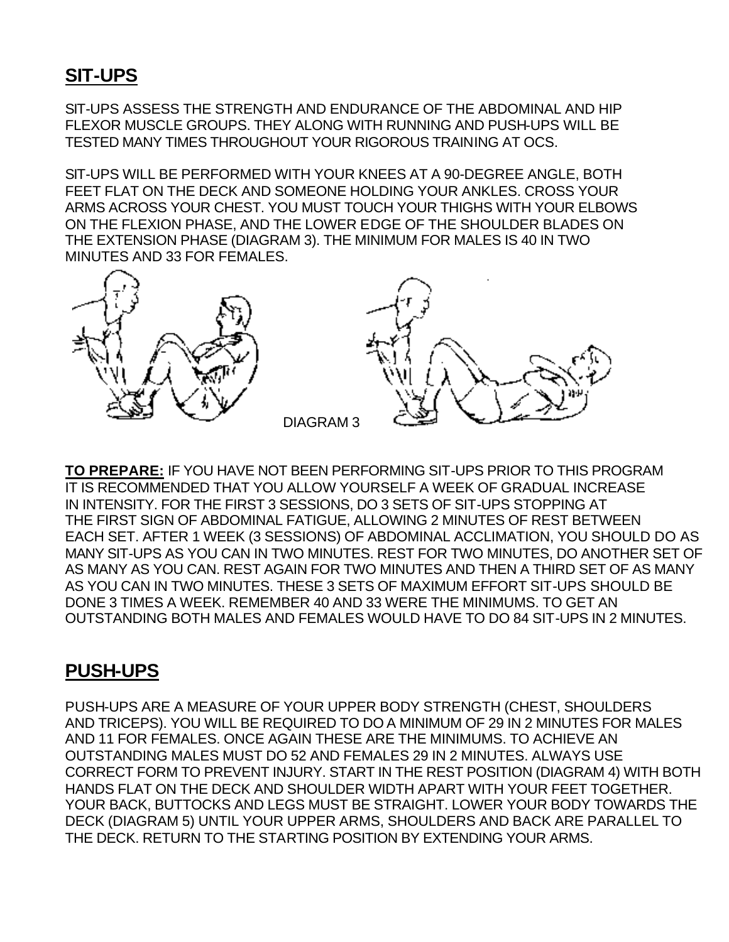# **SIT-UPS**

SIT-UPS ASSESS THE STRENGTH AND ENDURANCE OF THE ABDOMINAL AND HIP FLEXOR MUSCLE GROUPS. THEY ALONG WITH RUNNING AND PUSH-UPS WILL BE TESTED MANY TIMES THROUGHOUT YOUR RIGOROUS TRAINING AT OCS.

SIT-UPS WILL BE PERFORMED WITH YOUR KNEES AT A 90-DEGREE ANGLE, BOTH FEET FLAT ON THE DECK AND SOMEONE HOLDING YOUR ANKLES. CROSS YOUR ARMS ACROSS YOUR CHEST. YOU MUST TOUCH YOUR THIGHS WITH YOUR ELBOWS ON THE FLEXION PHASE, AND THE LOWER EDGE OF THE SHOULDER BLADES ON THE EXTENSION PHASE (DIAGRAM 3). THE MINIMUM FOR MALES IS 40 IN TWO MINUTES AND 33 FOR FEMALES.



**TO PREPARE:** IF YOU HAVE NOT BEEN PERFORMING SIT-UPS PRIOR TO THIS PROGRAM IT IS RECOMMENDED THAT YOU ALLOW YOURSELF A WEEK OF GRADUAL INCREASE IN INTENSITY. FOR THE FIRST 3 SESSIONS, DO 3 SETS OF SIT-UPS STOPPING AT THE FIRST SIGN OF ABDOMINAL FATIGUE, ALLOWING 2 MINUTES OF REST BETWEEN EACH SET. AFTER 1 WEEK (3 SESSIONS) OF ABDOMINAL ACCLIMATION, YOU SHOULD DO AS MANY SIT-UPS AS YOU CAN IN TWO MINUTES. REST FOR TWO MINUTES, DO ANOTHER SET OF AS MANY AS YOU CAN. REST AGAIN FOR TWO MINUTES AND THEN A THIRD SET OF AS MANY AS YOU CAN IN TWO MINUTES. THESE 3 SETS OF MAXIMUM EFFORT SIT-UPS SHOULD BE DONE 3 TIMES A WEEK. REMEMBER 40 AND 33 WERE THE MINIMUMS. TO GET AN OUTSTANDING BOTH MALES AND FEMALES WOULD HAVE TO DO 84 SIT-UPS IN 2 MINUTES.

## **PUSH-UPS**

PUSH-UPS ARE A MEASURE OF YOUR UPPER BODY STRENGTH (CHEST, SHOULDERS AND TRICEPS). YOU WILL BE REQUIRED TO DO A MINIMUM OF 29 IN 2 MINUTES FOR MALES AND 11 FOR FEMALES. ONCE AGAIN THESE ARE THE MINIMUMS. TO ACHIEVE AN OUTSTANDING MALES MUST DO 52 AND FEMALES 29 IN 2 MINUTES. ALWAYS USE CORRECT FORM TO PREVENT INJURY. START IN THE REST POSITION (DIAGRAM 4) WITH BOTH HANDS FLAT ON THE DECK AND SHOULDER WIDTH APART WITH YOUR FEET TOGETHER. YOUR BACK, BUTTOCKS AND LEGS MUST BE STRAIGHT. LOWER YOUR BODY TOWARDS THE DECK (DIAGRAM 5) UNTIL YOUR UPPER ARMS, SHOULDERS AND BACK ARE PARALLEL TO THE DECK. RETURN TO THE STARTING POSITION BY EXTENDING YOUR ARMS.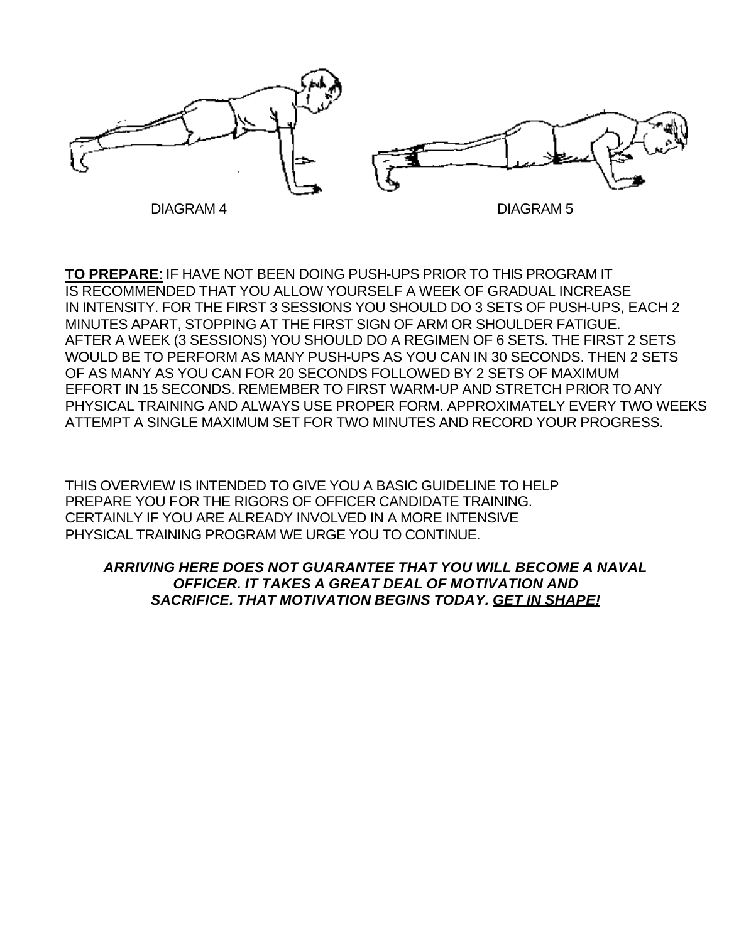

**TO PREPARE**: IF HAVE NOT BEEN DOING PUSH-UPS PRIOR TO THIS PROGRAM IT IS RECOMMENDED THAT YOU ALLOW YOURSELF A WEEK OF GRADUAL INCREASE IN INTENSITY. FOR THE FIRST 3 SESSIONS YOU SHOULD DO 3 SETS OF PUSH-UPS, EACH 2 MINUTES APART, STOPPING AT THE FIRST SIGN OF ARM OR SHOULDER FATIGUE. AFTER A WEEK (3 SESSIONS) YOU SHOULD DO A REGIMEN OF 6 SETS. THE FIRST 2 SETS WOULD BE TO PERFORM AS MANY PUSH-UPS AS YOU CAN IN 30 SECONDS. THEN 2 SETS OF AS MANY AS YOU CAN FOR 20 SECONDS FOLLOWED BY 2 SETS OF MAXIMUM EFFORT IN 15 SECONDS. REMEMBER TO FIRST WARM-UP AND STRETCH PRIOR TO ANY PHYSICAL TRAINING AND ALWAYS USE PROPER FORM. APPROXIMATELY EVERY TWO WEEKS ATTEMPT A SINGLE MAXIMUM SET FOR TWO MINUTES AND RECORD YOUR PROGRESS.

THIS OVERVIEW IS INTENDED TO GIVE YOU A BASIC GUIDELINE TO HELP PREPARE YOU FOR THE RIGORS OF OFFICER CANDIDATE TRAINING. CERTAINLY IF YOU ARE ALREADY INVOLVED IN A MORE INTENSIVE PHYSICAL TRAINING PROGRAM WE URGE YOU TO CONTINUE.

#### *ARRIVING HERE DOES NOT GUARANTEE THAT YOU WILL BECOME A NAVAL OFFICER. IT TAKES A GREAT DEAL OF MOTIVATION AND SACRIFICE. THAT MOTIVATION BEGINS TODAY. GET IN SHAPE!*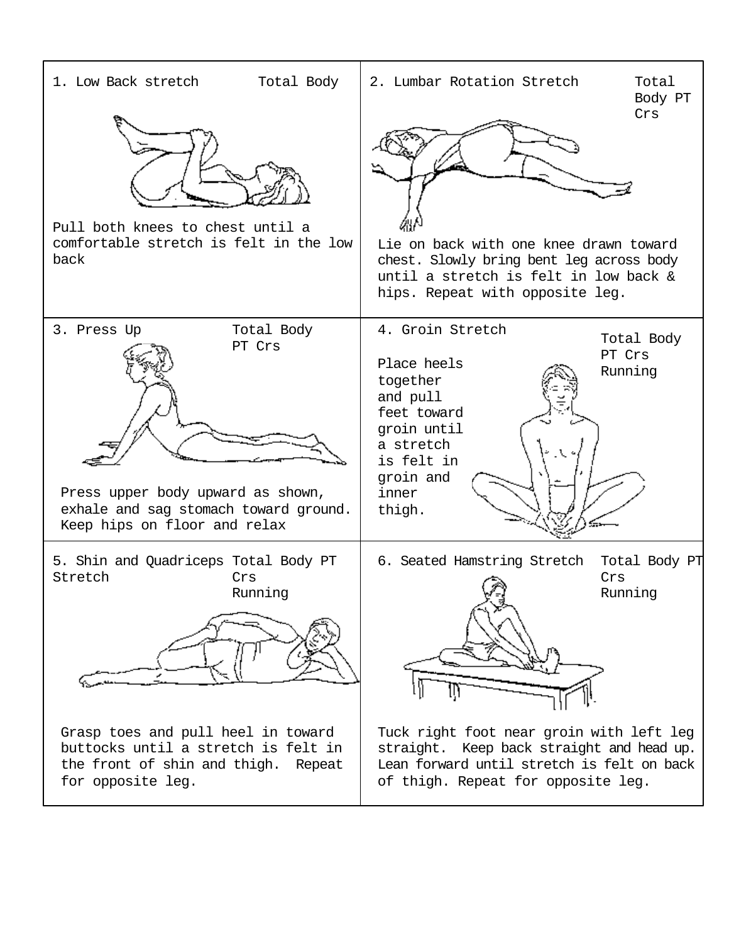